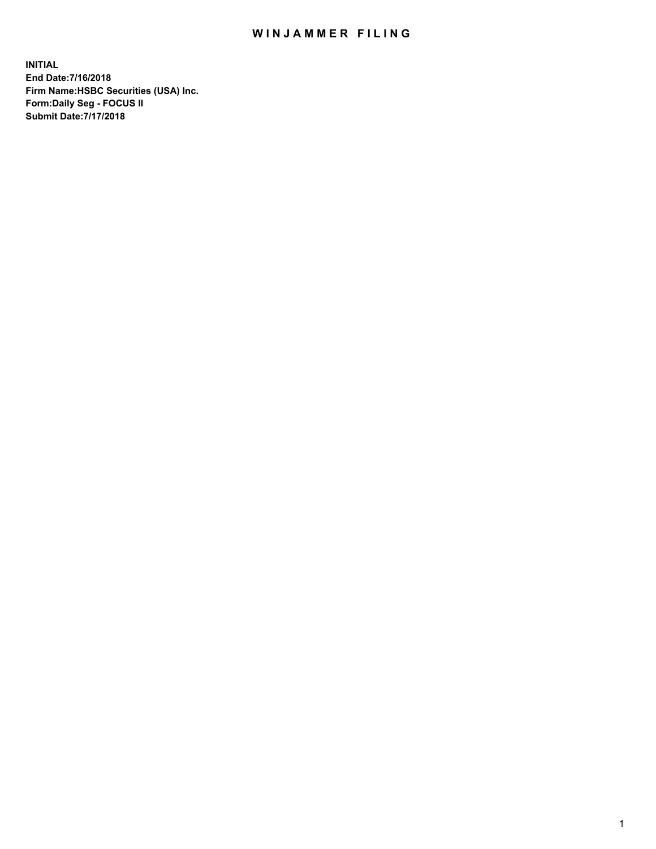## WIN JAMMER FILING

**INITIAL End Date:7/16/2018 Firm Name:HSBC Securities (USA) Inc. Form:Daily Seg - FOCUS II Submit Date:7/17/2018**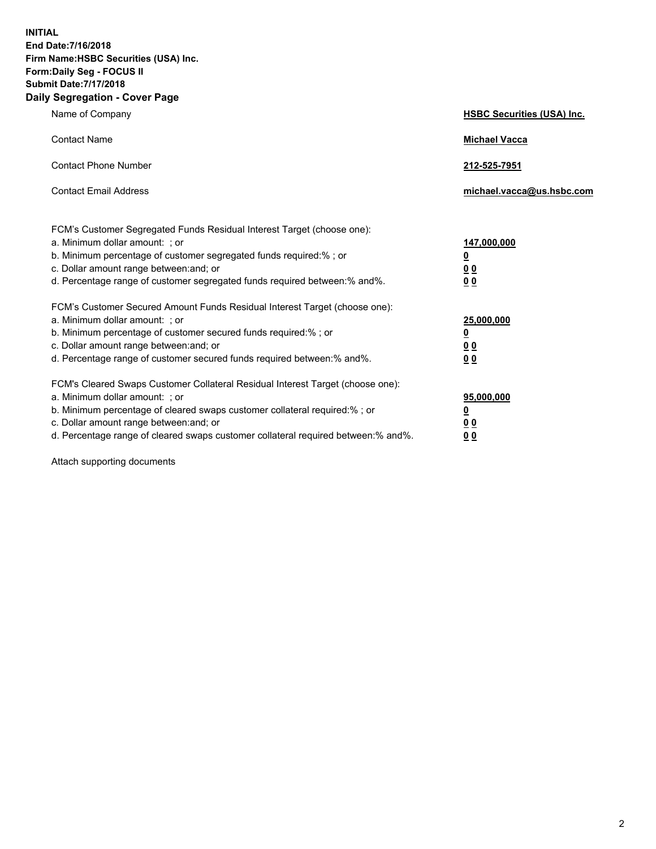**INITIAL End Date:7/16/2018 Firm Name:HSBC Securities (USA) Inc. Form:Daily Seg - FOCUS II Submit Date:7/17/2018 Daily Segregation - Cover Page**

| Name of Company                                                                                                                                                                                                                                                                                                                | <b>HSBC Securities (USA) Inc.</b>                                           |
|--------------------------------------------------------------------------------------------------------------------------------------------------------------------------------------------------------------------------------------------------------------------------------------------------------------------------------|-----------------------------------------------------------------------------|
| <b>Contact Name</b>                                                                                                                                                                                                                                                                                                            | <b>Michael Vacca</b>                                                        |
| <b>Contact Phone Number</b>                                                                                                                                                                                                                                                                                                    | 212-525-7951                                                                |
| <b>Contact Email Address</b>                                                                                                                                                                                                                                                                                                   | michael.vacca@us.hsbc.com                                                   |
| FCM's Customer Segregated Funds Residual Interest Target (choose one):<br>a. Minimum dollar amount: ; or<br>b. Minimum percentage of customer segregated funds required:% ; or<br>c. Dollar amount range between: and; or<br>d. Percentage range of customer segregated funds required between:% and%.                         | 147,000,000<br>$\underline{\mathbf{0}}$<br>0 <sub>0</sub><br>0 <sub>0</sub> |
| FCM's Customer Secured Amount Funds Residual Interest Target (choose one):<br>a. Minimum dollar amount: ; or<br>b. Minimum percentage of customer secured funds required:% ; or<br>c. Dollar amount range between: and; or<br>d. Percentage range of customer secured funds required between: % and %.                         | 25,000,000<br><u>0</u><br>0 <sub>0</sub><br>0 <sub>0</sub>                  |
| FCM's Cleared Swaps Customer Collateral Residual Interest Target (choose one):<br>a. Minimum dollar amount: ; or<br>b. Minimum percentage of cleared swaps customer collateral required:% ; or<br>c. Dollar amount range between: and; or<br>d. Percentage range of cleared swaps customer collateral required between:% and%. | 95,000,000<br><u>0</u><br>00<br>00                                          |

Attach supporting documents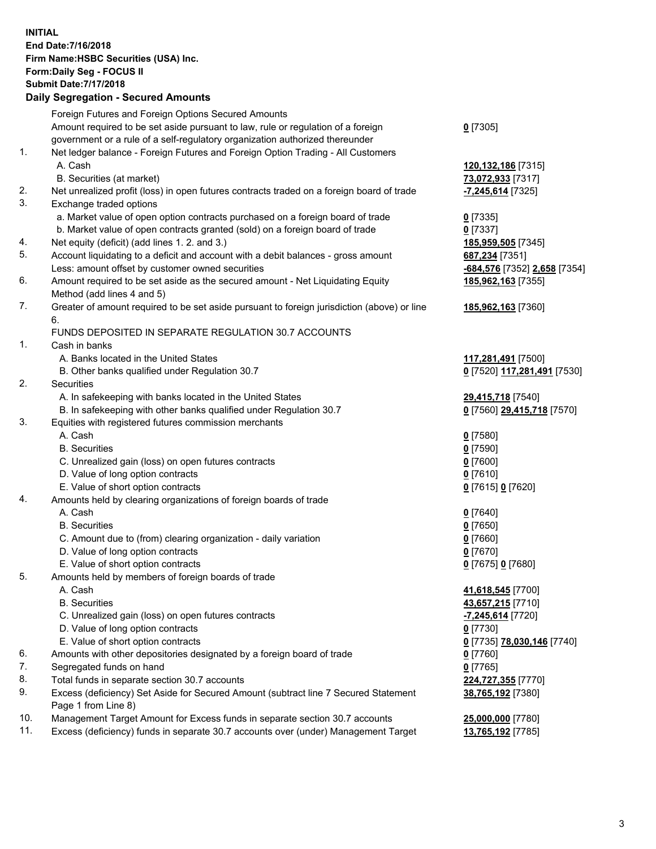**INITIAL End Date:7/16/2018 Firm Name:HSBC Securities (USA) Inc. Form:Daily Seg - FOCUS II Submit Date:7/17/2018**

## **Daily Segregation - Secured Amounts** Foreign Futures and Foreign Options Secured Amounts

|     | Foreign Futures and Foreign Options Secured Amounts                                         |                                |
|-----|---------------------------------------------------------------------------------------------|--------------------------------|
|     | Amount required to be set aside pursuant to law, rule or regulation of a foreign            | $0$ [7305]                     |
|     | government or a rule of a self-regulatory organization authorized thereunder                |                                |
| 1.  | Net ledger balance - Foreign Futures and Foreign Option Trading - All Customers             |                                |
|     | A. Cash                                                                                     | 120,132,186 [7315]             |
|     | B. Securities (at market)                                                                   | 73,072,933 [7317]              |
| 2.  | Net unrealized profit (loss) in open futures contracts traded on a foreign board of trade   | $-7,245,614$ [7325]            |
| 3.  | Exchange traded options                                                                     |                                |
|     | a. Market value of open option contracts purchased on a foreign board of trade              | $0$ [7335]                     |
|     | b. Market value of open contracts granted (sold) on a foreign board of trade                | $0$ [7337]                     |
| 4.  | Net equity (deficit) (add lines 1.2. and 3.)                                                | 185,959,505 [7345]             |
| 5.  | Account liquidating to a deficit and account with a debit balances - gross amount           | 687,234 [7351]                 |
|     | Less: amount offset by customer owned securities                                            |                                |
| 6.  |                                                                                             | -684,576 [7352] 2,658 [7354]   |
|     | Amount required to be set aside as the secured amount - Net Liquidating Equity              | 185,962,163 [7355]             |
|     | Method (add lines 4 and 5)                                                                  |                                |
| 7.  | Greater of amount required to be set aside pursuant to foreign jurisdiction (above) or line | 185,962,163 [7360]             |
|     | 6.                                                                                          |                                |
|     | FUNDS DEPOSITED IN SEPARATE REGULATION 30.7 ACCOUNTS                                        |                                |
| 1.  | Cash in banks                                                                               |                                |
|     | A. Banks located in the United States                                                       | 117,281,491 [7500]             |
|     | B. Other banks qualified under Regulation 30.7                                              | 0 [7520] 117,281,491 [7530]    |
| 2.  | Securities                                                                                  |                                |
|     | A. In safekeeping with banks located in the United States                                   | 29,415,718 [7540]              |
|     | B. In safekeeping with other banks qualified under Regulation 30.7                          | 0 [7560] 29,415,718 [7570]     |
| 3.  | Equities with registered futures commission merchants                                       |                                |
|     | A. Cash                                                                                     | $0$ [7580]                     |
|     | <b>B.</b> Securities                                                                        | $0$ [7590]                     |
|     | C. Unrealized gain (loss) on open futures contracts                                         | $0$ [7600]                     |
|     | D. Value of long option contracts                                                           | $0$ [7610]                     |
|     | E. Value of short option contracts                                                          | 0 [7615] 0 [7620]              |
| 4.  | Amounts held by clearing organizations of foreign boards of trade                           |                                |
|     | A. Cash                                                                                     | $0$ [7640]                     |
|     | <b>B.</b> Securities                                                                        | $0$ [7650]                     |
|     | C. Amount due to (from) clearing organization - daily variation                             | $0$ [7660]                     |
|     | D. Value of long option contracts                                                           | $0$ [7670]                     |
|     | E. Value of short option contracts                                                          | 0 [7675] 0 [7680]              |
| 5.  | Amounts held by members of foreign boards of trade                                          |                                |
|     | A. Cash                                                                                     | 41,618,545 [7700]              |
|     | <b>B.</b> Securities                                                                        | 43,657,215 [7710]              |
|     | C. Unrealized gain (loss) on open futures contracts                                         | <mark>-7,245,614</mark> [7720] |
|     | D. Value of long option contracts                                                           | $0$ [7730]                     |
|     | E. Value of short option contracts                                                          | 0 [7735] 78,030,146 [7740]     |
| 6.  | Amounts with other depositories designated by a foreign board of trade                      | $0$ [7760]                     |
| 7.  | Segregated funds on hand                                                                    | $0$ [7765]                     |
| 8.  | Total funds in separate section 30.7 accounts                                               | 224,727,355 [7770]             |
| 9.  | Excess (deficiency) Set Aside for Secured Amount (subtract line 7 Secured Statement         | 38,765,192 [7380]              |
|     | Page 1 from Line 8)                                                                         |                                |
| 10. | Management Target Amount for Excess funds in separate section 30.7 accounts                 |                                |
| 11. | Excess (deficiency) funds in separate 30.7 accounts over (under) Management Target          | 25,000,000 [7780]              |
|     |                                                                                             | 13,765,192 [7785]              |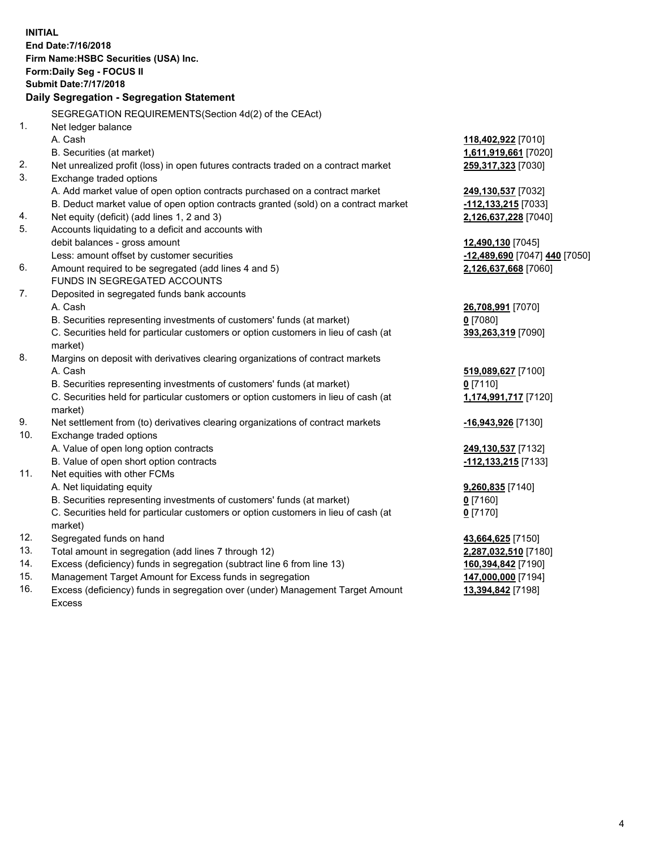**INITIAL End Date:7/16/2018 Firm Name:HSBC Securities (USA) Inc. Form:Daily Seg - FOCUS II Submit Date:7/17/2018 Daily Segregation - Segregation Statement** SEGREGATION REQUIREMENTS(Section 4d(2) of the CEAct) 1. Net ledger balance A. Cash **118,402,922** [7010] B. Securities (at market) **1,611,919,661** [7020] 2. Net unrealized profit (loss) in open futures contracts traded on a contract market **259,317,323** [7030] 3. Exchange traded options A. Add market value of open option contracts purchased on a contract market **249,130,537** [7032] B. Deduct market value of open option contracts granted (sold) on a contract market **-112,133,215** [7033] 4. Net equity (deficit) (add lines 1, 2 and 3) **2,126,637,228** [7040] 5. Accounts liquidating to a deficit and accounts with debit balances - gross amount **12,490,130** [7045] Less: amount offset by customer securities **-12,489,690** [7047] **440** [7050] 6. Amount required to be segregated (add lines 4 and 5) **2,126,637,668** [7060] FUNDS IN SEGREGATED ACCOUNTS 7. Deposited in segregated funds bank accounts A. Cash **26,708,991** [7070] B. Securities representing investments of customers' funds (at market) **0** [7080] C. Securities held for particular customers or option customers in lieu of cash (at market) **393,263,319** [7090] 8. Margins on deposit with derivatives clearing organizations of contract markets A. Cash **519,089,627** [7100] B. Securities representing investments of customers' funds (at market) **0** [7110] C. Securities held for particular customers or option customers in lieu of cash (at market) **1,174,991,717** [7120] 9. Net settlement from (to) derivatives clearing organizations of contract markets **-16,943,926** [7130] 10. Exchange traded options A. Value of open long option contracts **249,130,537** [7132] B. Value of open short option contracts **-112,133,215** [7133] 11. Net equities with other FCMs A. Net liquidating equity **9,260,835** [7140] B. Securities representing investments of customers' funds (at market) **0** [7160] C. Securities held for particular customers or option customers in lieu of cash (at market) **0** [7170] 12. Segregated funds on hand **43,664,625** [7150] 13. Total amount in segregation (add lines 7 through 12) **2,287,032,510** [7180] 14. Excess (deficiency) funds in segregation (subtract line 6 from line 13) **160,394,842** [7190] 15. Management Target Amount for Excess funds in segregation **147,000,000** [7194]

16. Excess (deficiency) funds in segregation over (under) Management Target Amount Excess

4

**13,394,842** [7198]